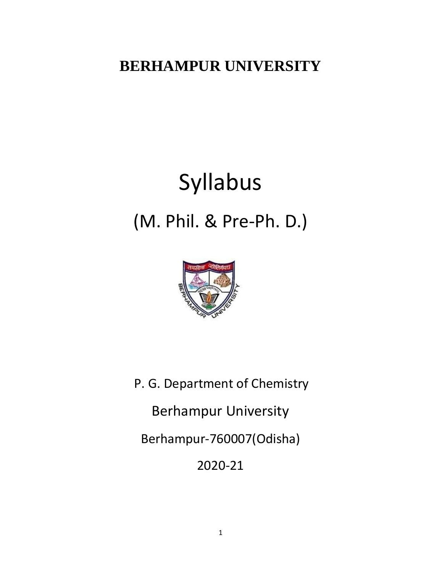## **BERHAMPUR UNIVERSITY**

# Syllabus (M. Phil. & Pre-Ph. D.)



 P. G. Department of Chemistry Berhampur University Berhampur-760007(Odisha) 2020-21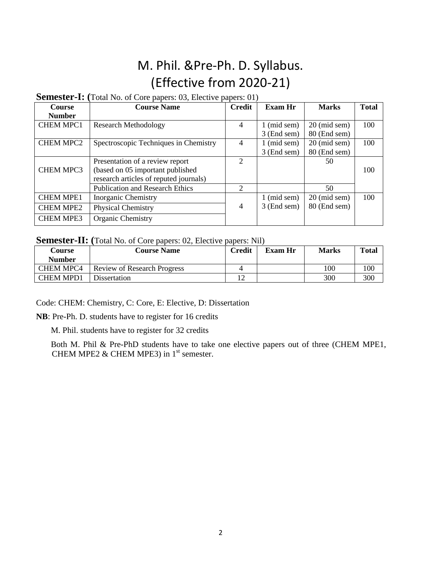### M. Phil. &Pre-Ph. D. Syllabus. (Effective from 2020-21)

#### **Semester-I: (**Total No. of Core papers: 03, Elective papers: 01)

| Course           | <b>Course Name</b>                     | <b>Credit</b>  | <b>Exam Hr</b> | <b>Marks</b>           | <b>Total</b> |
|------------------|----------------------------------------|----------------|----------------|------------------------|--------------|
| <b>Number</b>    |                                        |                |                |                        |              |
| <b>CHEM MPC1</b> | <b>Research Methodology</b>            |                | $1 \pmod{sem}$ | $20 \text{ (mid sem)}$ | 100          |
|                  |                                        |                | 3 (End sem)    | 80 (End sem)           |              |
| <b>CHEM MPC2</b> | Spectroscopic Techniques in Chemistry  | 4              | $1$ (mid sem)  | 20 (mid sem)           | 100          |
|                  |                                        |                | 3 (End sem)    | 80 (End sem)           |              |
|                  | Presentation of a review report        | $\overline{2}$ |                | 50                     |              |
| <b>CHEM MPC3</b> | (based on 05 important published       |                |                |                        | 100          |
|                  | research articles of reputed journals) |                |                |                        |              |
|                  | <b>Publication and Research Ethics</b> | $\overline{2}$ |                | 50                     |              |
| <b>CHEM MPE1</b> | <b>Inorganic Chemistry</b>             |                | $1 \pmod{sem}$ | $20 \text{ (mid sem)}$ | 100          |
| <b>CHEM MPE2</b> | Physical Chemistry                     | 4              | 3 (End sem)    | 80 (End sem)           |              |
| <b>CHEM MPE3</b> | Organic Chemistry                      |                |                |                        |              |

#### **Semester-II: (**Total No. of Core papers: 02, Elective papers: Nil)

| Course<br><b>Number</b> | <b>Course Name</b>                 | <b>Credit</b> | Exam Hr | <b>Marks</b> | Total |
|-------------------------|------------------------------------|---------------|---------|--------------|-------|
| <b>CHEM MPC4</b>        | <b>Review of Research Progress</b> |               |         | 100          | 100   |
| <b>CHEM MPD1</b>        | Dissertation                       | 12            |         | 300          | 300   |

Code: CHEM: Chemistry, C: Core, E: Elective, D: Dissertation

**NB**: Pre-Ph. D. students have to register for 16 credits

M. Phil. students have to register for 32 credits

 Both M. Phil & Pre-PhD students have to take one elective papers out of three (CHEM MPE1, CHEM MPE2 & CHEM MPE3) in  $1<sup>st</sup>$  semester.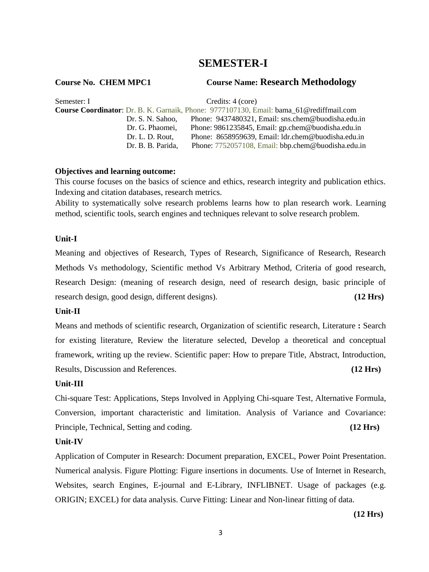### **SEMESTER-I**

**Course No. CHEM MPC1 Course Name: Research Methodology**

| Semester: I | Credits: 4 (core) |                                                                                                |  |
|-------------|-------------------|------------------------------------------------------------------------------------------------|--|
|             |                   | <b>Course Coordinator:</b> Dr. B. K. Garnaik, Phone: 9777107130, Email: bama 61@rediffmail.com |  |
|             | Dr. S. N. Sahoo.  | Phone: 9437480321, Email: sns.chem@buodisha.edu.in                                             |  |
|             | Dr. G. Phaomei,   | Phone: 9861235845, Email: gp.chem@buodisha.edu.in                                              |  |
|             | Dr. L. D. Rout,   | Phone: 8658959639, Email: ldr.chem@buodisha.edu.in                                             |  |
|             | Dr. B. B. Parida, | Phone: 7752057108, Email: bbp.chem@buodisha.edu.in                                             |  |

#### **Objectives and learning outcome:**

This course focuses on the basics of science and ethics, research integrity and publication ethics. Indexing and citation databases, research metrics.

Ability to systematically solve research problems learns how to plan research work. Learning method, scientific tools, search engines and techniques relevant to solve research problem.

#### **Unit-I**

Meaning and objectives of Research, Types of Research, Significance of Research, Research Methods Vs methodology, Scientific method Vs Arbitrary Method, Criteria of good research, Research Design: (meaning of research design, need of research design, basic principle of research design, good design, different designs). **(12 Hrs)**

#### **Unit-II**

Means and methods of scientific research, Organization of scientific research, Literature **:** Search for existing literature, Review the literature selected, Develop a theoretical and conceptual framework, writing up the review. Scientific paper: How to prepare Title, Abstract, Introduction, Results, Discussion and References. **(12 Hrs)**

#### **Unit-III**

Chi-square Test: Applications, Steps Involved in Applying Chi-square Test, Alternative Formula, Conversion, important characteristic and limitation. Analysis of Variance and Covariance: Principle, Technical, Setting and coding. **(12 Hrs)**

#### **Unit-IV**

Application of Computer in Research: Document preparation, EXCEL, Power Point Presentation. Numerical analysis. Figure Plotting: Figure insertions in documents. Use of Internet in Research, Websites, search Engines, E-journal and E-Library, INFLIBNET. Usage of packages (e.g. ORIGIN; EXCEL) for data analysis. Curve Fitting: Linear and Non-linear fitting of data.

**(12 Hrs)**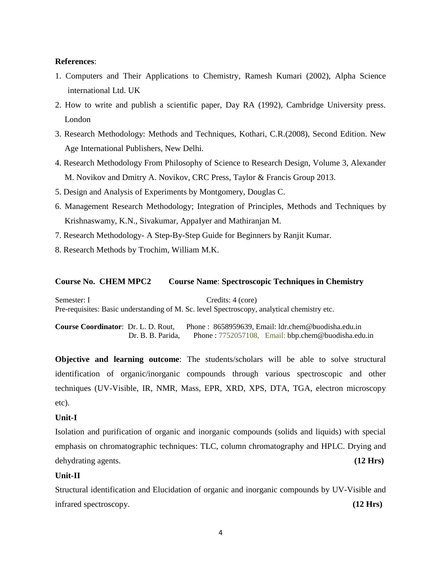#### **References**:

- 1. Computers and Their Applications to Chemistry, Ramesh Kumari (2002), Alpha Science international Ltd. UK
- 2. How to write and publish a scientific paper, Day RA (1992), Cambridge University press. London
- 3. Research Methodology: Methods and Techniques, Kothari, C.R.(2008), Second Edition. New Age International Publishers, New Delhi.
- 4. Research Methodology From Philosophy of Science to Research Design, Volume 3, Alexander M. Novikov and Dmitry A. Novikov, CRC Press, Taylor & Francis Group 2013.
- 5. Design and Analysis of Experiments by Montgomery, Douglas C.
- 6. Management Research Methodology; Integration of Principles, Methods and Techniques by Krishnaswamy, K.N., Sivakumar, AppaIyer and Mathiranjan M.
- 7. Research Methodology- A Step-By-Step Guide for Beginners by Ranjit Kumar.
- 8. Research Methods by Trochim, William M.K.

#### **Course No. CHEM MPC2 Course Name**: **Spectroscopic Techniques in Chemistry**

Semester: I Credits: 4 (core) Pre-requisites: Basic understanding of M. Sc. level Spectroscopy, analytical chemistry etc.

**Course Coordinator**: Dr. L. D. Rout, Phone : 8658959639, Email: ldr.chem@buodisha.edu.in Dr. B. B. Parida, Phone : 7752057108, Email: bbp.chem@buodisha.edu.in

**Objective and learning outcome**: The students/scholars will be able to solve structural identification of organic/inorganic compounds through various spectroscopic and other techniques (UV-Visible, IR, NMR, Mass, EPR, XRD, XPS, DTA, TGA, electron microscopy etc).

#### **Unit-I**

Isolation and purification of organic and inorganic compounds (solids and liquids) with special emphasis on chromatographic techniques: TLC, column chromatography and HPLC. Drying and dehydrating agents. **(12 Hrs)**

#### **Unit-II**

Structural identification and Elucidation of organic and inorganic compounds by UV-Visible and infrared spectroscopy. **(12 Hrs)**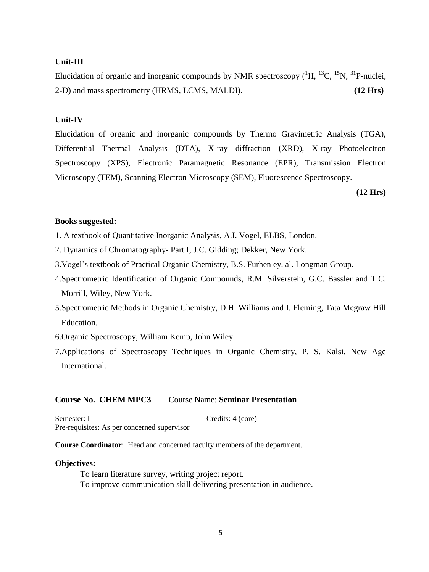#### **Unit-III**

Elucidation of organic and inorganic compounds by NMR spectroscopy  $(^1H, ^{13}C, ^{15}N, ^{31}P$ -nuclei, 2-D) and mass spectrometry (HRMS, LCMS, MALDI). **(12 Hrs)**

#### **Unit-IV**

Elucidation of organic and inorganic compounds by Thermo Gravimetric Analysis (TGA), Differential Thermal Analysis (DTA), X-ray diffraction (XRD), X-ray Photoelectron Spectroscopy (XPS), Electronic Paramagnetic Resonance (EPR), Transmission Electron Microscopy (TEM), Scanning Electron Microscopy (SEM), Fluorescence Spectroscopy.

**(12 Hrs)**

#### **Books suggested:**

- 1. A textbook of Quantitative Inorganic Analysis, A.I. Vogel, ELBS, London.
- 2. Dynamics of Chromatography- Part I; J.C. Gidding; Dekker, New York.
- 3.Vogel's textbook of Practical Organic Chemistry, B.S. Furhen ey. al. Longman Group.
- 4.Spectrometric Identification of Organic Compounds, R.M. Silverstein, G.C. Bassler and T.C. Morrill, Wiley, New York.
- 5.Spectrometric Methods in Organic Chemistry, D.H. Williams and I. Fleming, Tata Mcgraw Hill Education.
- 6.Organic Spectroscopy, William Kemp, John Wiley.
- 7.Applications of Spectroscopy Techniques in Organic Chemistry, P. S. Kalsi, New Age International.

#### **Course No. CHEM MPC3** Course Name: **Seminar Presentation**

Semester: I Credits: 4 (core) Pre-requisites: As per concerned supervisor

**Course Coordinator**: Head and concerned faculty members of the department.

#### **Objectives:**

To learn literature survey, writing project report. To improve communication skill delivering presentation in audience.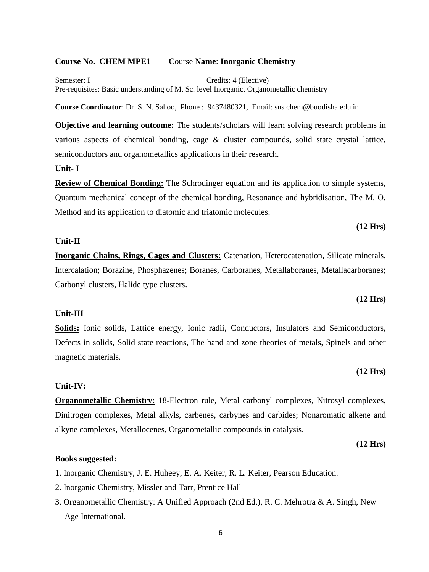#### **Course No. CHEM MPE1 C**ourse **Name**: **Inorganic Chemistry**

Semester: I Credits: 4 (Elective) Pre-requisites: Basic understanding of M. Sc. level Inorganic, Organometallic chemistry

**Course Coordinator**: Dr. S. N. Sahoo, Phone : 9437480321, Email: sns.chem@buodisha.edu.in

**Objective and learning outcome:** The students/scholars will learn solving research problems in various aspects of chemical bonding, cage & cluster compounds, solid state crystal lattice, semiconductors and organometallics applications in their research.

#### **Unit- I**

**Review of Chemical Bonding:** The Schrodinger equation and its application to simple systems, Quantum mechanical concept of the chemical bonding, Resonance and hybridisation, The M. O. Method and its application to diatomic and triatomic molecules.

#### **Unit-II**

**Inorganic Chains, Rings, Cages and Clusters:** Catenation, Heterocatenation, Silicate minerals, Intercalation; Borazine, Phosphazenes; Boranes, Carboranes, Metallaboranes, Metallacarboranes; Carbonyl clusters, Halide type clusters.

#### **(12 Hrs)**

**(12 Hrs)**

#### **Unit-III**

**Solids:** Ionic solids, Lattice energy, Ionic radii, Conductors, Insulators and Semiconductors, Defects in solids, Solid state reactions, The band and zone theories of metals, Spinels and other magnetic materials.

#### **Unit-IV:**

**Organometallic Chemistry:** 18-Electron rule, Metal carbonyl complexes, Nitrosyl complexes, Dinitrogen complexes, Metal alkyls, carbenes, carbynes and carbides; Nonaromatic alkene and alkyne complexes, Metallocenes, Organometallic compounds in catalysis.

**(12 Hrs)**

**(12 Hrs)**

#### **Books suggested:**

1. Inorganic Chemistry, J. E. Huheey, E. A. Keiter, R. L. Keiter, Pearson Education.

- 2. Inorganic Chemistry, Missler and Tarr, Prentice Hall
- 3. Organometallic Chemistry: A Unified Approach (2nd Ed.), R. C. Mehrotra & A. Singh, New Age International.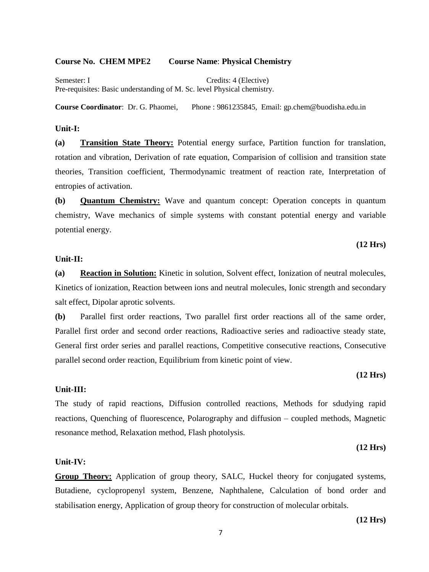#### **Course No. CHEM MPE2 Course Name**: **Physical Chemistry**

Semester: I Credits: 4 (Elective) Pre-requisites: Basic understanding of M. Sc. level Physical chemistry.

**Course Coordinator**: Dr. G. Phaomei, Phone : 9861235845, Email: gp.chem@buodisha.edu.in

#### **Unit-I:**

**(a) Transition State Theory:** Potential energy surface, Partition function for translation, rotation and vibration, Derivation of rate equation, Comparision of collision and transition state theories, Transition coefficient, Thermodynamic treatment of reaction rate, Interpretation of entropies of activation.

**(b) Quantum Chemistry:** Wave and quantum concept: Operation concepts in quantum chemistry, Wave mechanics of simple systems with constant potential energy and variable potential energy.

#### **(12 Hrs)**

#### **Unit-II:**

**(a) Reaction in Solution:** Kinetic in solution, Solvent effect, Ionization of neutral molecules, Kinetics of ionization, Reaction between ions and neutral molecules, Ionic strength and secondary salt effect, Dipolar aprotic solvents.

**(b)** Parallel first order reactions, Two parallel first order reactions all of the same order, Parallel first order and second order reactions, Radioactive series and radioactive steady state, General first order series and parallel reactions, Competitive consecutive reactions, Consecutive parallel second order reaction, Equilibrium from kinetic point of view.

#### **Unit-III:**

The study of rapid reactions, Diffusion controlled reactions, Methods for sdudying rapid reactions, Quenching of fluorescence, Polarography and diffusion – coupled methods, Magnetic resonance method, Relaxation method, Flash photolysis.

#### **(12 Hrs)**

**(12 Hrs)**

#### **Unit-IV:**

**Group Theory:** Application of group theory, SALC, Huckel theory for conjugated systems, Butadiene, cyclopropenyl system, Benzene, Naphthalene, Calculation of bond order and stabilisation energy, Application of group theory for construction of molecular orbitals.

**(12 Hrs)**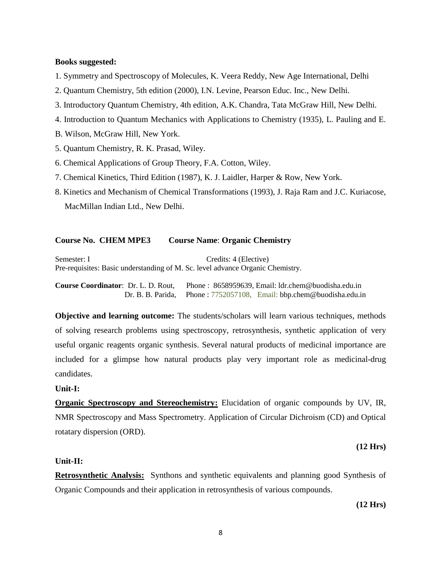#### **Books suggested:**

- 1. Symmetry and Spectroscopy of Molecules, K. Veera Reddy, New Age International, Delhi
- 2. Quantum Chemistry, 5th edition (2000), I.N. Levine, Pearson Educ. Inc., New Delhi.
- 3. Introductory Quantum Chemistry, 4th edition, A.K. Chandra, Tata McGraw Hill, New Delhi.
- 4. Introduction to Quantum Mechanics with Applications to Chemistry (1935), L. Pauling and E.
- B. Wilson, McGraw Hill, New York.
- 5. Quantum Chemistry, R. K. Prasad, Wiley.
- 6. Chemical Applications of Group Theory, F.A. Cotton, Wiley.
- 7. Chemical Kinetics, Third Edition (1987), K. J. Laidler, Harper & Row, New York.
- 8. Kinetics and Mechanism of Chemical Transformations (1993), J. Raja Ram and J.C. Kuriacose, MacMillan Indian Ltd., New Delhi.

#### **Course No. CHEM MPE3 Course Name**: **Organic Chemistry**

Semester: I Credits: 4 (Elective) Pre-requisites: Basic understanding of M. Sc. level advance Organic Chemistry.

**Course Coordinator**: Dr. L. D. Rout, Phone : 8658959639, Email: ldr.chem@buodisha.edu.in Dr. B. B. Parida, Phone : 7752057108, Email: bbp.chem@buodisha.edu.in

**Objective and learning outcome:** The students/scholars will learn various techniques, methods of solving research problems using spectroscopy, retrosynthesis, synthetic application of very useful organic reagents organic synthesis. Several natural products of medicinal importance are included for a glimpse how natural products play very important role as medicinal-drug candidates.

#### **Unit-I:**

**Organic Spectroscopy and Stereochemistry:** Elucidation of organic compounds by UV, IR, NMR Spectroscopy and Mass Spectrometry. Application of Circular Dichroism (CD) and Optical rotatary dispersion (ORD).

**(12 Hrs)**

#### **Unit-II:**

**Retrosynthetic Analysis:** Synthons and synthetic equivalents and planning good Synthesis of Organic Compounds and their application in retrosynthesis of various compounds.

**(12 Hrs)**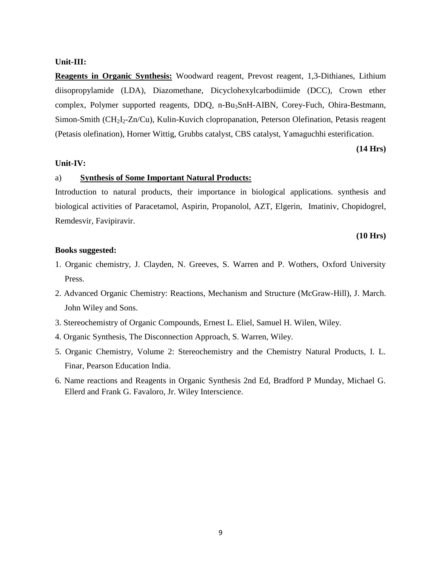#### **Unit-III:**

**Reagents in Organic Synthesis:** Woodward reagent, Prevost reagent, 1,3-Dithianes, Lithium diisopropylamide (LDA), Diazomethane, Dicyclohexylcarbodiimide (DCC), Crown ether complex, Polymer supported reagents, DDQ, n-Bu3SnH-AIBN, Corey-Fuch, Ohira-Bestmann, Simon-Smith (CH<sub>2</sub>I<sub>2</sub>-Zn/Cu), Kulin-Kuvich clopropanation, Peterson Olefination, Petasis reagent (Petasis olefination), Horner Wittig, Grubbs catalyst, CBS catalyst, Yamaguchhi esterification.

#### **(14 Hrs)**

#### **Unit-IV:**

#### a) **Synthesis of Some Important Natural Products:**

Introduction to natural products, their importance in biological applications. synthesis and biological activities of Paracetamol, Aspirin, Propanolol, AZT, Elgerin, Imatiniv, Chopidogrel, Remdesvir, Favipiravir.

#### **(10 Hrs)**

#### **Books suggested:**

- 1. Organic chemistry, J. Clayden, N. Greeves, S. Warren and P. Wothers, Oxford University Press.
- 2. Advanced Organic Chemistry: Reactions, Mechanism and Structure (McGraw-Hill), J. March. John Wiley and Sons.
- 3. Stereochemistry of Organic Compounds, [Ernest L. Eliel,](http://as.wiley.com/WileyCDA/Section/id-302477.html?query=Ernest+L.+Eliel) [Samuel H. Wilen,](http://as.wiley.com/WileyCDA/Section/id-302477.html?query=Samuel+H.+Wilen) Wiley.
- 4. Organic Synthesis, The Disconnection Approach, S. Warren, Wiley.
- 5. [Organic Chemistry, Volume 2: Stereochemistry and the Chemistry Natural Products, I. L.](http://www.amazon.in/Organic-Chemistry-Stereochemistry-Natural-Products/dp/817758541X/ref=sr_1_1?ie=UTF8&qid=1489662699&sr=8-1&keywords=natural+chemistry)  [Finar, Pearson Education India.](http://www.amazon.in/Organic-Chemistry-Stereochemistry-Natural-Products/dp/817758541X/ref=sr_1_1?ie=UTF8&qid=1489662699&sr=8-1&keywords=natural+chemistry)
- 6. Name reactions and Reagents in Organic Synthesis 2nd Ed, Bradford P Munday, Michael G. Ellerd and Frank G. Favaloro, Jr. Wiley Interscience.